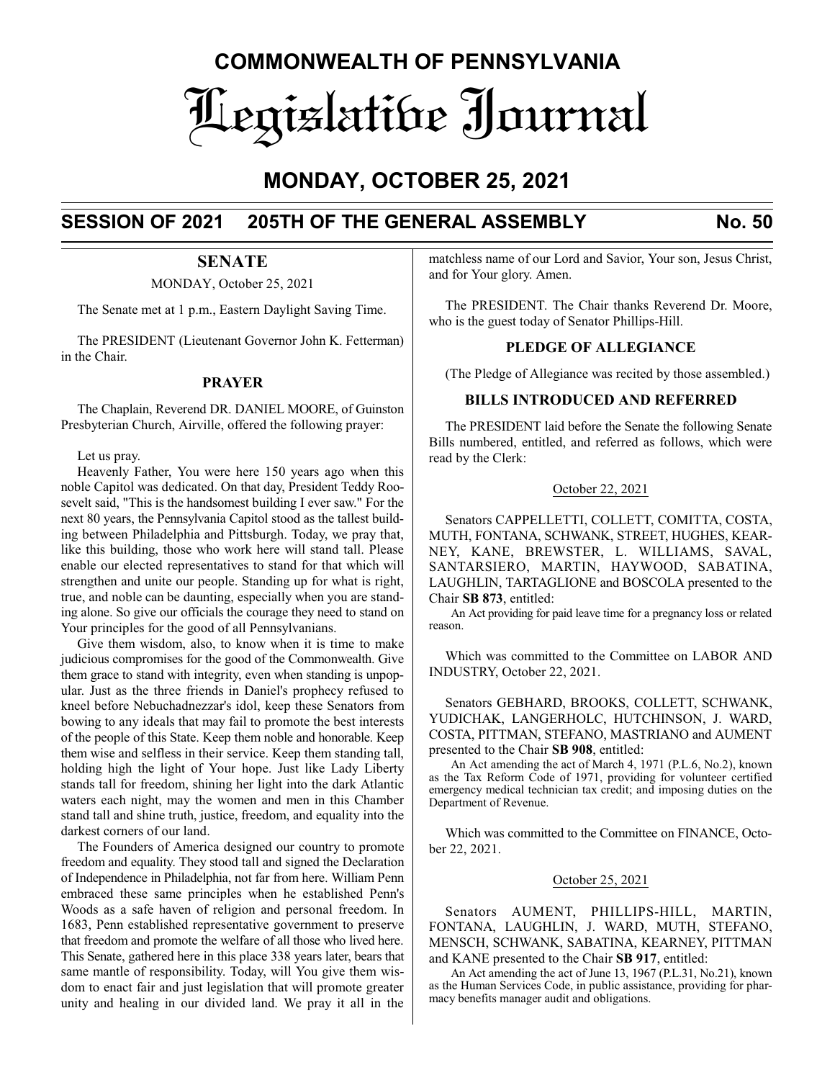# **COMMONWEALTH OF PENNSYLVANIA** Legislative Journal

# **MONDAY, OCTOBER 25, 2021**

## **SESSION OF 2021 205TH OF THE GENERAL ASSEMBLY No. 50**

### **SENATE**

MONDAY, October 25, 2021

The Senate met at 1 p.m., Eastern Daylight Saving Time.

The PRESIDENT (Lieutenant Governor John K. Fetterman) in the Chair.

#### **PRAYER**

The Chaplain, Reverend DR. DANIEL MOORE, of Guinston Presbyterian Church, Airville, offered the following prayer:

Let us pray.

Heavenly Father, You were here 150 years ago when this noble Capitol was dedicated. On that day, President Teddy Roosevelt said, "This is the handsomest building I ever saw." For the next 80 years, the Pennsylvania Capitol stood as the tallest building between Philadelphia and Pittsburgh. Today, we pray that, like this building, those who work here will stand tall. Please enable our elected representatives to stand for that which will strengthen and unite our people. Standing up for what is right, true, and noble can be daunting, especially when you are standing alone. So give our officials the courage they need to stand on Your principles for the good of all Pennsylvanians.

Give them wisdom, also, to know when it is time to make judicious compromises for the good of the Commonwealth. Give them grace to stand with integrity, even when standing is unpopular. Just as the three friends in Daniel's prophecy refused to kneel before Nebuchadnezzar's idol, keep these Senators from bowing to any ideals that may fail to promote the best interests of the people of this State. Keep them noble and honorable. Keep them wise and selfless in their service. Keep them standing tall, holding high the light of Your hope. Just like Lady Liberty stands tall for freedom, shining her light into the dark Atlantic waters each night, may the women and men in this Chamber stand tall and shine truth, justice, freedom, and equality into the darkest corners of our land.

The Founders of America designed our country to promote freedom and equality. They stood tall and signed the Declaration of Independence in Philadelphia, not far from here. William Penn embraced these same principles when he established Penn's Woods as a safe haven of religion and personal freedom. In 1683, Penn established representative government to preserve that freedom and promote the welfare of all those who lived here. This Senate, gathered here in this place 338 years later, bears that same mantle of responsibility. Today, will You give them wisdom to enact fair and just legislation that will promote greater unity and healing in our divided land. We pray it all in the

matchless name of our Lord and Savior, Your son, Jesus Christ, and for Your glory. Amen.

The PRESIDENT. The Chair thanks Reverend Dr. Moore, who is the guest today of Senator Phillips-Hill.

#### **PLEDGE OF ALLEGIANCE**

(The Pledge of Allegiance was recited by those assembled.)

#### **BILLS INTRODUCED AND REFERRED**

The PRESIDENT laid before the Senate the following Senate Bills numbered, entitled, and referred as follows, which were read by the Clerk:

#### October 22, 2021

Senators CAPPELLETTI, COLLETT, COMITTA, COSTA, MUTH, FONTANA, SCHWANK, STREET, HUGHES, KEAR-NEY, KANE, BREWSTER, L. WILLIAMS, SAVAL, SANTARSIERO, MARTIN, HAYWOOD, SABATINA, LAUGHLIN, TARTAGLIONE and BOSCOLA presented to the Chair **SB 873**, entitled:

An Act providing for paid leave time for a pregnancy loss or related reason.

Which was committed to the Committee on LABOR AND INDUSTRY, October 22, 2021.

Senators GEBHARD, BROOKS, COLLETT, SCHWANK, YUDICHAK, LANGERHOLC, HUTCHINSON, J. WARD, COSTA, PITTMAN, STEFANO, MASTRIANO and AUMENT presented to the Chair **SB 908**, entitled:

An Act amending the act of March 4, 1971 (P.L.6, No.2), known as the Tax Reform Code of 1971, providing for volunteer certified emergency medical technician tax credit; and imposing duties on the Department of Revenue.

Which was committed to the Committee on FINANCE, October 22, 2021.

#### October 25, 2021

Senators AUMENT, PHILLIPS-HILL, MARTIN, FONTANA, LAUGHLIN, J. WARD, MUTH, STEFANO, MENSCH, SCHWANK, SABATINA, KEARNEY, PITTMAN and KANE presented to the Chair **SB 917**, entitled:

An Act amending the act of June 13, 1967 (P.L.31, No.21), known as the Human Services Code, in public assistance, providing for pharmacy benefits manager audit and obligations.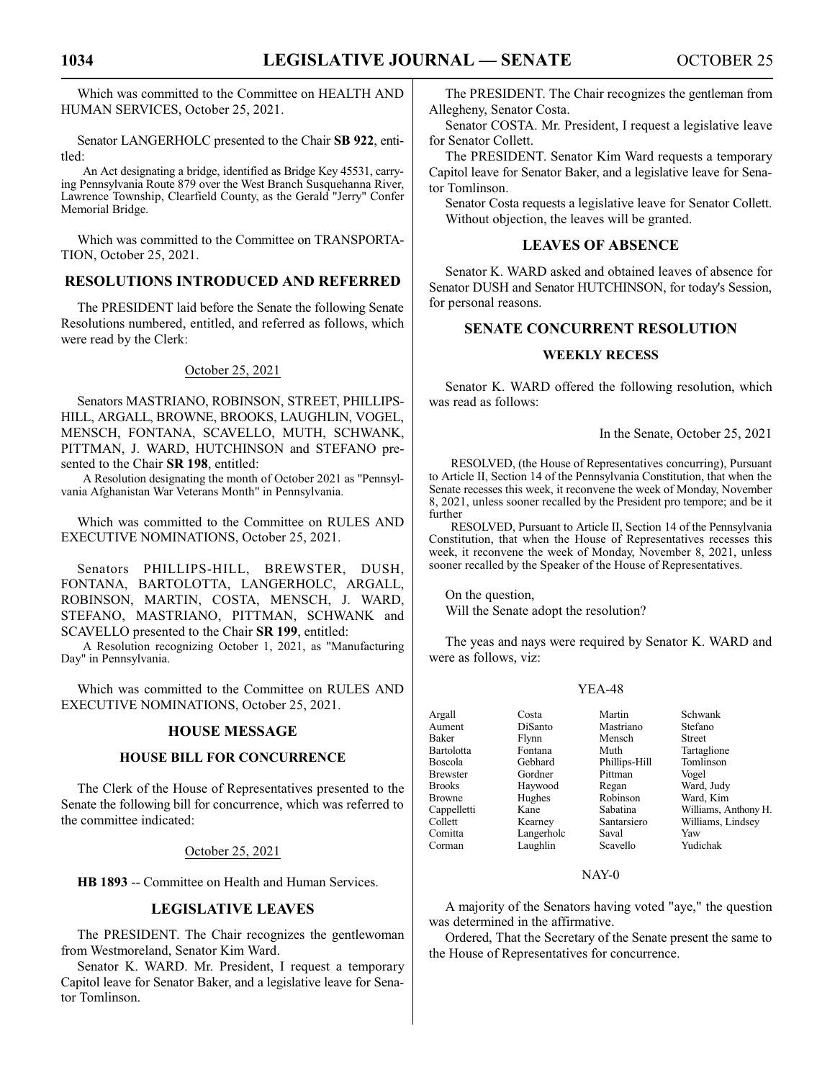Which was committed to the Committee on HEALTH AND HUMAN SERVICES, October 25, 2021.

Senator LANGERHOLC presented to the Chair **SB 922**, entitled:

An Act designating a bridge, identified as Bridge Key 45531, carrying Pennsylvania Route 879 over the West Branch Susquehanna River, Lawrence Township, Clearfield County, as the Gerald "Jerry" Confer Memorial Bridge.

Which was committed to the Committee on TRANSPORTA-TION, October 25, 2021.

#### **RESOLUTIONS INTRODUCED AND REFERRED**

The PRESIDENT laid before the Senate the following Senate Resolutions numbered, entitled, and referred as follows, which were read by the Clerk:

#### October 25, 2021

Senators MASTRIANO, ROBINSON, STREET, PHILLIPS-HILL, ARGALL, BROWNE, BROOKS, LAUGHLIN, VOGEL, MENSCH, FONTANA, SCAVELLO, MUTH, SCHWANK, PITTMAN, J. WARD, HUTCHINSON and STEFANO presented to the Chair **SR 198**, entitled:

A Resolution designating the month of October 2021 as "Pennsylvania Afghanistan War Veterans Month" in Pennsylvania.

Which was committed to the Committee on RULES AND EXECUTIVE NOMINATIONS, October 25, 2021.

Senators PHILLIPS-HILL, BREWSTER, DUSH, FONTANA, BARTOLOTTA, LANGERHOLC, ARGALL, ROBINSON, MARTIN, COSTA, MENSCH, J. WARD, STEFANO, MASTRIANO, PITTMAN, SCHWANK and SCAVELLO presented to the Chair **SR 199**, entitled:

A Resolution recognizing October 1, 2021, as "Manufacturing Day" in Pennsylvania.

Which was committed to the Committee on RULES AND EXECUTIVE NOMINATIONS, October 25, 2021.

#### **HOUSE MESSAGE**

#### **HOUSE BILL FOR CONCURRENCE**

The Clerk of the House of Representatives presented to the Senate the following bill for concurrence, which was referred to the committee indicated:

#### October 25, 2021

**HB 1893** -- Committee on Health and Human Services.

#### **LEGISLATIVE LEAVES**

The PRESIDENT. The Chair recognizes the gentlewoman from Westmoreland, Senator Kim Ward.

Senator K. WARD. Mr. President, I request a temporary Capitol leave for Senator Baker, and a legislative leave for Senator Tomlinson.

The PRESIDENT. The Chair recognizes the gentleman from Allegheny, Senator Costa.

Senator COSTA. Mr. President, I request a legislative leave for Senator Collett.

The PRESIDENT. Senator Kim Ward requests a temporary Capitol leave for Senator Baker, and a legislative leave for Senator Tomlinson.

Senator Costa requests a legislative leave for Senator Collett. Without objection, the leaves will be granted.

#### **LEAVES OF ABSENCE**

Senator K. WARD asked and obtained leaves of absence for Senator DUSH and Senator HUTCHINSON, for today's Session, for personal reasons.

#### **SENATE CONCURRENT RESOLUTION**

#### **WEEKLY RECESS**

Senator K. WARD offered the following resolution, which was read as follows:

In the Senate, October 25, 2021

RESOLVED, (the House of Representatives concurring), Pursuant to Article II, Section 14 of the Pennsylvania Constitution, that when the Senate recesses this week, it reconvene the week of Monday, November 8, 2021, unless sooner recalled by the President pro tempore; and be it further

RESOLVED, Pursuant to Article II, Section 14 of the Pennsylvania Constitution, that when the House of Representatives recesses this week, it reconvene the week of Monday, November 8, 2021, unless sooner recalled by the Speaker of the House of Representatives.

On the question,

Will the Senate adopt the resolution?

The yeas and nays were required by Senator K. WARD and were as follows, viz:

#### YEA-48

| Argall            | Costa      | Martin        | Schwank              |
|-------------------|------------|---------------|----------------------|
| Aument            | DiSanto    | Mastriano     | Stefano              |
| <b>Baker</b>      | Flynn      | Mensch        | <b>Street</b>        |
| <b>Bartolotta</b> | Fontana    | Muth          | Tartaglione          |
| Boscola           | Gebhard    | Phillips-Hill | Tomlinson            |
| <b>Brewster</b>   | Gordner    | Pittman       | Vogel                |
| <b>Brooks</b>     | Haywood    | Regan         | Ward, Judy           |
| <b>Browne</b>     | Hughes     | Robinson      | Ward, Kim            |
| Cappelletti       | Kane       | Sabatina      | Williams, Anthony H. |
| Collett           | Kearney    | Santarsiero   | Williams, Lindsey    |
| Comitta           | Langerholc | Saval         | Yaw                  |
| Corman            | Laughlin   | Scavello      | Yudichak             |

NAY-0

A majority of the Senators having voted "aye," the question was determined in the affirmative.

Ordered, That the Secretary of the Senate present the same to the House of Representatives for concurrence.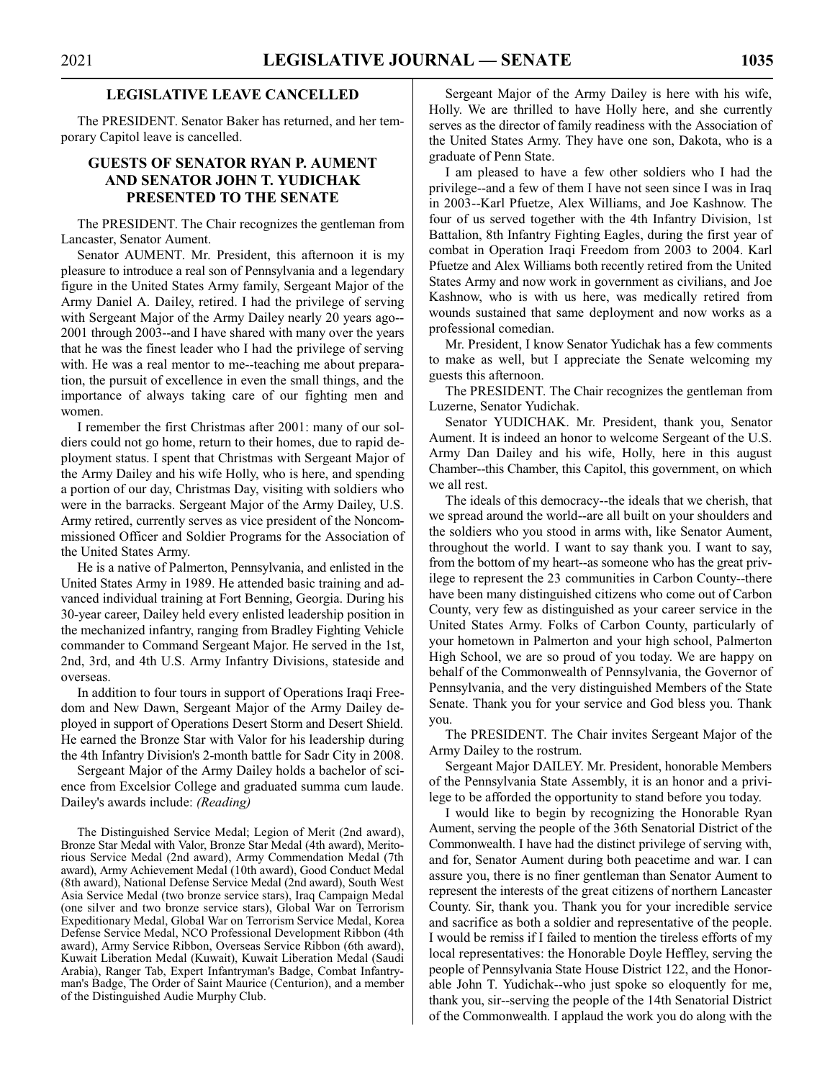#### **LEGISLATIVE LEAVE CANCELLED**

The PRESIDENT. Senator Baker has returned, and her temporary Capitol leave is cancelled.

#### **GUESTS OF SENATOR RYAN P. AUMENT AND SENATOR JOHN T. YUDICHAK PRESENTED TO THE SENATE**

The PRESIDENT. The Chair recognizes the gentleman from Lancaster, Senator Aument.

Senator AUMENT. Mr. President, this afternoon it is my pleasure to introduce a real son of Pennsylvania and a legendary figure in the United States Army family, Sergeant Major of the Army Daniel A. Dailey, retired. I had the privilege of serving with Sergeant Major of the Army Dailey nearly 20 years ago-- 2001 through 2003--and I have shared with many over the years that he was the finest leader who I had the privilege of serving with. He was a real mentor to me--teaching me about preparation, the pursuit of excellence in even the small things, and the importance of always taking care of our fighting men and women.

I remember the first Christmas after 2001: many of our soldiers could not go home, return to their homes, due to rapid deployment status. I spent that Christmas with Sergeant Major of the Army Dailey and his wife Holly, who is here, and spending a portion of our day, Christmas Day, visiting with soldiers who were in the barracks. Sergeant Major of the Army Dailey, U.S. Army retired, currently serves as vice president of the Noncommissioned Officer and Soldier Programs for the Association of the United States Army.

He is a native of Palmerton, Pennsylvania, and enlisted in the United States Army in 1989. He attended basic training and advanced individual training at Fort Benning, Georgia. During his 30-year career, Dailey held every enlisted leadership position in the mechanized infantry, ranging from Bradley Fighting Vehicle commander to Command Sergeant Major. He served in the 1st, 2nd, 3rd, and 4th U.S. Army Infantry Divisions, stateside and overseas.

In addition to four tours in support of Operations Iraqi Freedom and New Dawn, Sergeant Major of the Army Dailey deployed in support of Operations Desert Storm and Desert Shield. He earned the Bronze Star with Valor for his leadership during the 4th Infantry Division's 2-month battle for Sadr City in 2008.

Sergeant Major of the Army Dailey holds a bachelor of science from Excelsior College and graduated summa cum laude. Dailey's awards include: *(Reading)*

The Distinguished Service Medal; Legion of Merit (2nd award), Bronze Star Medal with Valor, Bronze Star Medal (4th award), Meritorious Service Medal (2nd award), Army Commendation Medal (7th award), Army Achievement Medal (10th award), Good Conduct Medal (8th award), National Defense Service Medal (2nd award), South West Asia Service Medal (two bronze service stars), Iraq Campaign Medal (one silver and two bronze service stars), Global War on Terrorism Expeditionary Medal, Global War on Terrorism Service Medal, Korea Defense Service Medal, NCO Professional Development Ribbon (4th award), Army Service Ribbon, Overseas Service Ribbon (6th award), Kuwait Liberation Medal (Kuwait), Kuwait Liberation Medal (Saudi Arabia), Ranger Tab, Expert Infantryman's Badge, Combat Infantryman's Badge, The Order of Saint Maurice (Centurion), and a member of the Distinguished Audie Murphy Club.

Sergeant Major of the Army Dailey is here with his wife, Holly. We are thrilled to have Holly here, and she currently serves as the director of family readiness with the Association of the United States Army. They have one son, Dakota, who is a graduate of Penn State.

I am pleased to have a few other soldiers who I had the privilege--and a few of them I have not seen since I was in Iraq in 2003--Karl Pfuetze, Alex Williams, and Joe Kashnow. The four of us served together with the 4th Infantry Division, 1st Battalion, 8th Infantry Fighting Eagles, during the first year of combat in Operation Iraqi Freedom from 2003 to 2004. Karl Pfuetze and Alex Williams both recently retired from the United States Army and now work in government as civilians, and Joe Kashnow, who is with us here, was medically retired from wounds sustained that same deployment and now works as a professional comedian.

Mr. President, I know Senator Yudichak has a few comments to make as well, but I appreciate the Senate welcoming my guests this afternoon.

The PRESIDENT. The Chair recognizes the gentleman from Luzerne, Senator Yudichak.

Senator YUDICHAK. Mr. President, thank you, Senator Aument. It is indeed an honor to welcome Sergeant of the U.S. Army Dan Dailey and his wife, Holly, here in this august Chamber--this Chamber, this Capitol, this government, on which we all rest.

The ideals of this democracy--the ideals that we cherish, that we spread around the world--are all built on your shoulders and the soldiers who you stood in arms with, like Senator Aument, throughout the world. I want to say thank you. I want to say, from the bottom of my heart--as someone who has the great privilege to represent the 23 communities in Carbon County--there have been many distinguished citizens who come out of Carbon County, very few as distinguished as your career service in the United States Army. Folks of Carbon County, particularly of your hometown in Palmerton and your high school, Palmerton High School, we are so proud of you today. We are happy on behalf of the Commonwealth of Pennsylvania, the Governor of Pennsylvania, and the very distinguished Members of the State Senate. Thank you for your service and God bless you. Thank you.

The PRESIDENT. The Chair invites Sergeant Major of the Army Dailey to the rostrum.

Sergeant Major DAILEY. Mr. President, honorable Members of the Pennsylvania State Assembly, it is an honor and a privilege to be afforded the opportunity to stand before you today.

I would like to begin by recognizing the Honorable Ryan Aument, serving the people of the 36th Senatorial District of the Commonwealth. I have had the distinct privilege of serving with, and for, Senator Aument during both peacetime and war. I can assure you, there is no finer gentleman than Senator Aument to represent the interests of the great citizens of northern Lancaster County. Sir, thank you. Thank you for your incredible service and sacrifice as both a soldier and representative of the people. I would be remiss if I failed to mention the tireless efforts of my local representatives: the Honorable Doyle Heffley, serving the people of Pennsylvania State House District 122, and the Honorable John T. Yudichak--who just spoke so eloquently for me, thank you, sir--serving the people of the 14th Senatorial District of the Commonwealth. I applaud the work you do along with the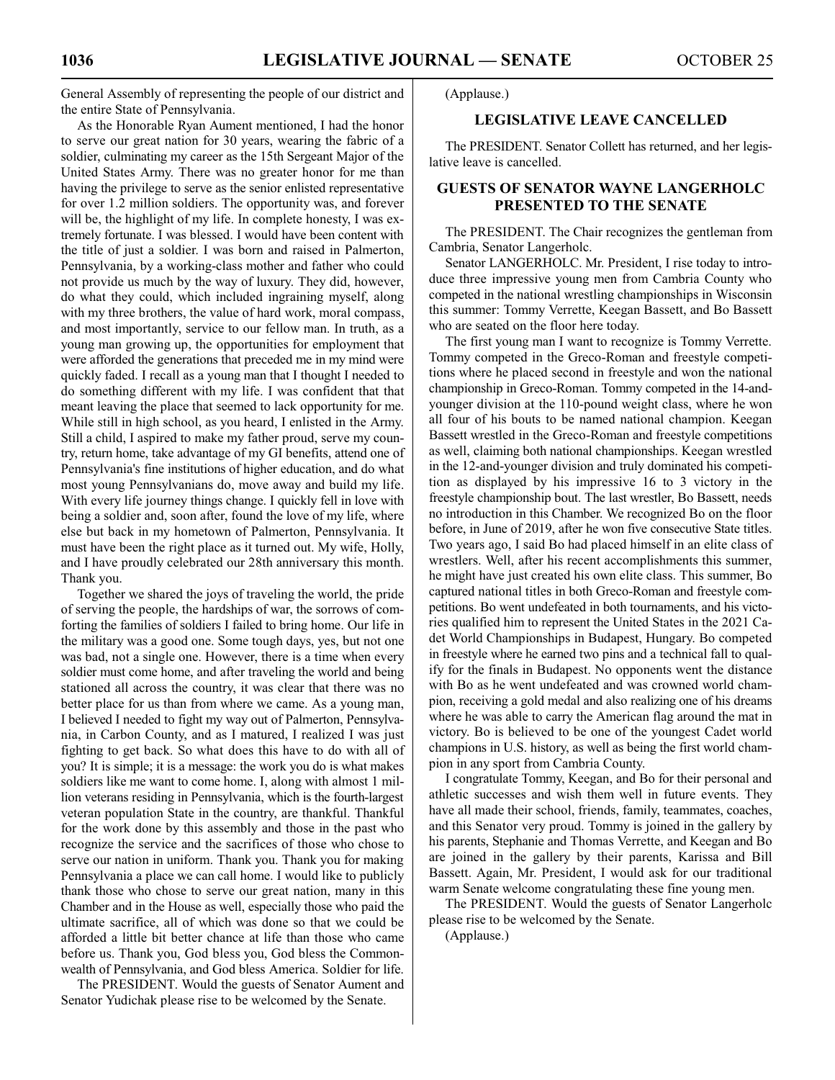General Assembly of representing the people of our district and the entire State of Pennsylvania.

As the Honorable Ryan Aument mentioned, I had the honor to serve our great nation for 30 years, wearing the fabric of a soldier, culminating my career as the 15th Sergeant Major of the United States Army. There was no greater honor for me than having the privilege to serve as the senior enlisted representative for over 1.2 million soldiers. The opportunity was, and forever will be, the highlight of my life. In complete honesty, I was extremely fortunate. I was blessed. I would have been content with the title of just a soldier. I was born and raised in Palmerton, Pennsylvania, by a working-class mother and father who could not provide us much by the way of luxury. They did, however, do what they could, which included ingraining myself, along with my three brothers, the value of hard work, moral compass, and most importantly, service to our fellow man. In truth, as a young man growing up, the opportunities for employment that were afforded the generations that preceded me in my mind were quickly faded. I recall as a young man that I thought I needed to do something different with my life. I was confident that that meant leaving the place that seemed to lack opportunity for me. While still in high school, as you heard, I enlisted in the Army. Still a child, I aspired to make my father proud, serve my country, return home, take advantage of my GI benefits, attend one of Pennsylvania's fine institutions of higher education, and do what most young Pennsylvanians do, move away and build my life. With every life journey things change. I quickly fell in love with being a soldier and, soon after, found the love of my life, where else but back in my hometown of Palmerton, Pennsylvania. It must have been the right place as it turned out. My wife, Holly, and I have proudly celebrated our 28th anniversary this month. Thank you.

Together we shared the joys of traveling the world, the pride of serving the people, the hardships of war, the sorrows of comforting the families of soldiers I failed to bring home. Our life in the military was a good one. Some tough days, yes, but not one was bad, not a single one. However, there is a time when every soldier must come home, and after traveling the world and being stationed all across the country, it was clear that there was no better place for us than from where we came. As a young man, I believed I needed to fight my way out of Palmerton, Pennsylvania, in Carbon County, and as I matured, I realized I was just fighting to get back. So what does this have to do with all of you? It is simple; it is a message: the work you do is what makes soldiers like me want to come home. I, along with almost 1 million veterans residing in Pennsylvania, which is the fourth-largest veteran population State in the country, are thankful. Thankful for the work done by this assembly and those in the past who recognize the service and the sacrifices of those who chose to serve our nation in uniform. Thank you. Thank you for making Pennsylvania a place we can call home. I would like to publicly thank those who chose to serve our great nation, many in this Chamber and in the House as well, especially those who paid the ultimate sacrifice, all of which was done so that we could be afforded a little bit better chance at life than those who came before us. Thank you, God bless you, God bless the Commonwealth of Pennsylvania, and God bless America. Soldier for life.

The PRESIDENT. Would the guests of Senator Aument and Senator Yudichak please rise to be welcomed by the Senate.

(Applause.)

#### **LEGISLATIVE LEAVE CANCELLED**

The PRESIDENT. Senator Collett has returned, and her legislative leave is cancelled.

#### **GUESTS OF SENATOR WAYNE LANGERHOLC PRESENTED TO THE SENATE**

The PRESIDENT. The Chair recognizes the gentleman from Cambria, Senator Langerholc.

Senator LANGERHOLC. Mr. President, I rise today to introduce three impressive young men from Cambria County who competed in the national wrestling championships in Wisconsin this summer: Tommy Verrette, Keegan Bassett, and Bo Bassett who are seated on the floor here today.

The first young man I want to recognize is Tommy Verrette. Tommy competed in the Greco-Roman and freestyle competitions where he placed second in freestyle and won the national championship in Greco-Roman. Tommy competed in the 14-andyounger division at the 110-pound weight class, where he won all four of his bouts to be named national champion. Keegan Bassett wrestled in the Greco-Roman and freestyle competitions as well, claiming both national championships. Keegan wrestled in the 12-and-younger division and truly dominated his competition as displayed by his impressive 16 to 3 victory in the freestyle championship bout. The last wrestler, Bo Bassett, needs no introduction in this Chamber. We recognized Bo on the floor before, in June of 2019, after he won five consecutive State titles. Two years ago, I said Bo had placed himself in an elite class of wrestlers. Well, after his recent accomplishments this summer, he might have just created his own elite class. This summer, Bo captured national titles in both Greco-Roman and freestyle competitions. Bo went undefeated in both tournaments, and his victories qualified him to represent the United States in the 2021 Cadet World Championships in Budapest, Hungary. Bo competed in freestyle where he earned two pins and a technical fall to qualify for the finals in Budapest. No opponents went the distance with Bo as he went undefeated and was crowned world champion, receiving a gold medal and also realizing one of his dreams where he was able to carry the American flag around the mat in victory. Bo is believed to be one of the youngest Cadet world champions in U.S. history, as well as being the first world champion in any sport from Cambria County.

I congratulate Tommy, Keegan, and Bo for their personal and athletic successes and wish them well in future events. They have all made their school, friends, family, teammates, coaches, and this Senator very proud. Tommy is joined in the gallery by his parents, Stephanie and Thomas Verrette, and Keegan and Bo are joined in the gallery by their parents, Karissa and Bill Bassett. Again, Mr. President, I would ask for our traditional warm Senate welcome congratulating these fine young men.

The PRESIDENT. Would the guests of Senator Langerholc please rise to be welcomed by the Senate.

(Applause.)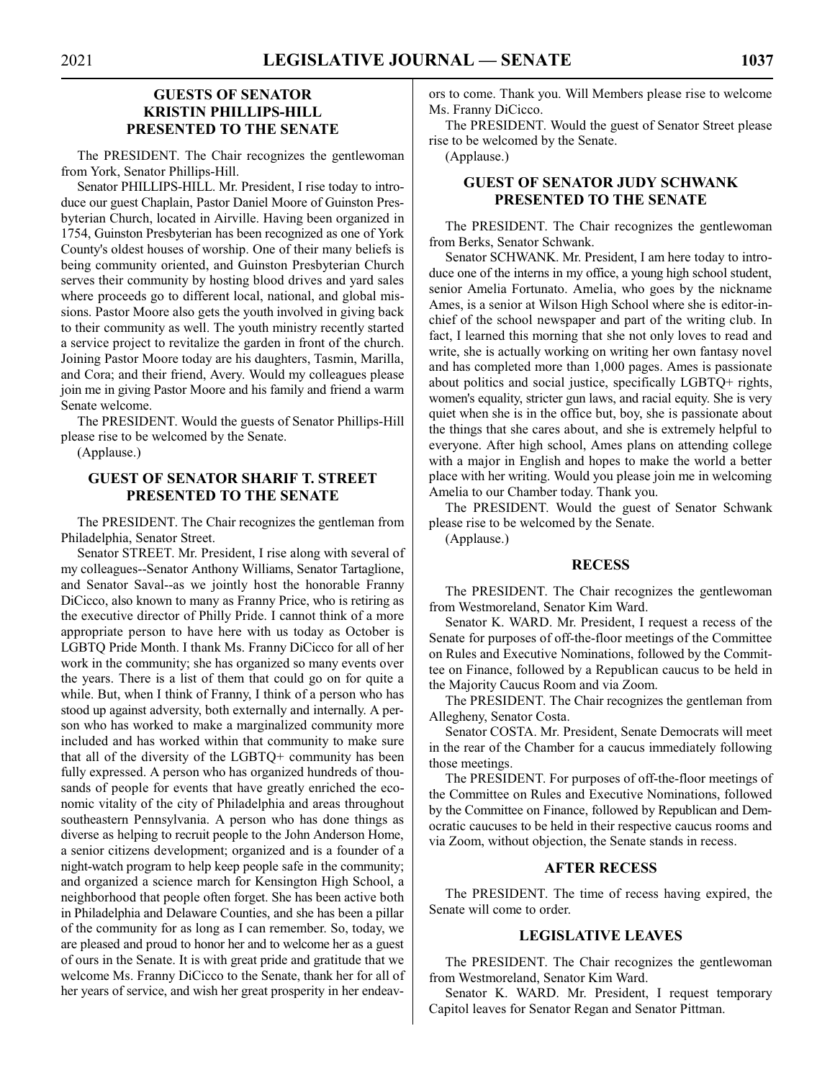#### **GUESTS OF SENATOR KRISTIN PHILLIPS-HILL PRESENTED TO THE SENATE**

The PRESIDENT. The Chair recognizes the gentlewoman from York, Senator Phillips-Hill.

Senator PHILLIPS-HILL. Mr. President, I rise today to introduce our guest Chaplain, Pastor Daniel Moore of Guinston Presbyterian Church, located in Airville. Having been organized in 1754, Guinston Presbyterian has been recognized as one of York County's oldest houses of worship. One of their many beliefs is being community oriented, and Guinston Presbyterian Church serves their community by hosting blood drives and yard sales where proceeds go to different local, national, and global missions. Pastor Moore also gets the youth involved in giving back to their community as well. The youth ministry recently started a service project to revitalize the garden in front of the church. Joining Pastor Moore today are his daughters, Tasmin, Marilla, and Cora; and their friend, Avery. Would my colleagues please join me in giving Pastor Moore and his family and friend a warm Senate welcome.

The PRESIDENT. Would the guests of Senator Phillips-Hill please rise to be welcomed by the Senate.

(Applause.)

#### **GUEST OF SENATOR SHARIF T. STREET PRESENTED TO THE SENATE**

The PRESIDENT. The Chair recognizes the gentleman from Philadelphia, Senator Street.

Senator STREET. Mr. President, I rise along with several of my colleagues--Senator Anthony Williams, Senator Tartaglione, and Senator Saval--as we jointly host the honorable Franny DiCicco, also known to many as Franny Price, who is retiring as the executive director of Philly Pride. I cannot think of a more appropriate person to have here with us today as October is LGBTQ Pride Month. I thank Ms. Franny DiCicco for all of her work in the community; she has organized so many events over the years. There is a list of them that could go on for quite a while. But, when I think of Franny, I think of a person who has stood up against adversity, both externally and internally. A person who has worked to make a marginalized community more included and has worked within that community to make sure that all of the diversity of the LGBTQ+ community has been fully expressed. A person who has organized hundreds of thousands of people for events that have greatly enriched the economic vitality of the city of Philadelphia and areas throughout southeastern Pennsylvania. A person who has done things as diverse as helping to recruit people to the John Anderson Home, a senior citizens development; organized and is a founder of a night-watch program to help keep people safe in the community; and organized a science march for Kensington High School, a neighborhood that people often forget. She has been active both in Philadelphia and Delaware Counties, and she has been a pillar of the community for as long as I can remember. So, today, we are pleased and proud to honor her and to welcome her as a guest of ours in the Senate. It is with great pride and gratitude that we welcome Ms. Franny DiCicco to the Senate, thank her for all of her years of service, and wish her great prosperity in her endeavors to come. Thank you. Will Members please rise to welcome Ms. Franny DiCicco.

The PRESIDENT. Would the guest of Senator Street please rise to be welcomed by the Senate.

(Applause.)

#### **GUEST OF SENATOR JUDY SCHWANK PRESENTED TO THE SENATE**

The PRESIDENT. The Chair recognizes the gentlewoman from Berks, Senator Schwank.

Senator SCHWANK. Mr. President, I am here today to introduce one of the interns in my office, a young high school student, senior Amelia Fortunato. Amelia, who goes by the nickname Ames, is a senior at Wilson High School where she is editor-inchief of the school newspaper and part of the writing club. In fact, I learned this morning that she not only loves to read and write, she is actually working on writing her own fantasy novel and has completed more than 1,000 pages. Ames is passionate about politics and social justice, specifically LGBTQ+ rights, women's equality, stricter gun laws, and racial equity. She is very quiet when she is in the office but, boy, she is passionate about the things that she cares about, and she is extremely helpful to everyone. After high school, Ames plans on attending college with a major in English and hopes to make the world a better place with her writing. Would you please join me in welcoming Amelia to our Chamber today. Thank you.

The PRESIDENT. Would the guest of Senator Schwank please rise to be welcomed by the Senate.

(Applause.)

#### **RECESS**

The PRESIDENT. The Chair recognizes the gentlewoman from Westmoreland, Senator Kim Ward.

Senator K. WARD. Mr. President, I request a recess of the Senate for purposes of off-the-floor meetings of the Committee on Rules and Executive Nominations, followed by the Committee on Finance, followed by a Republican caucus to be held in the Majority Caucus Room and via Zoom.

The PRESIDENT. The Chair recognizes the gentleman from Allegheny, Senator Costa.

Senator COSTA. Mr. President, Senate Democrats will meet in the rear of the Chamber for a caucus immediately following those meetings.

The PRESIDENT. For purposes of off-the-floor meetings of the Committee on Rules and Executive Nominations, followed by the Committee on Finance, followed by Republican and Democratic caucuses to be held in their respective caucus rooms and via Zoom, without objection, the Senate stands in recess.

#### **AFTER RECESS**

The PRESIDENT. The time of recess having expired, the Senate will come to order.

#### **LEGISLATIVE LEAVES**

The PRESIDENT. The Chair recognizes the gentlewoman from Westmoreland, Senator Kim Ward.

Senator K. WARD. Mr. President, I request temporary Capitol leaves for Senator Regan and Senator Pittman.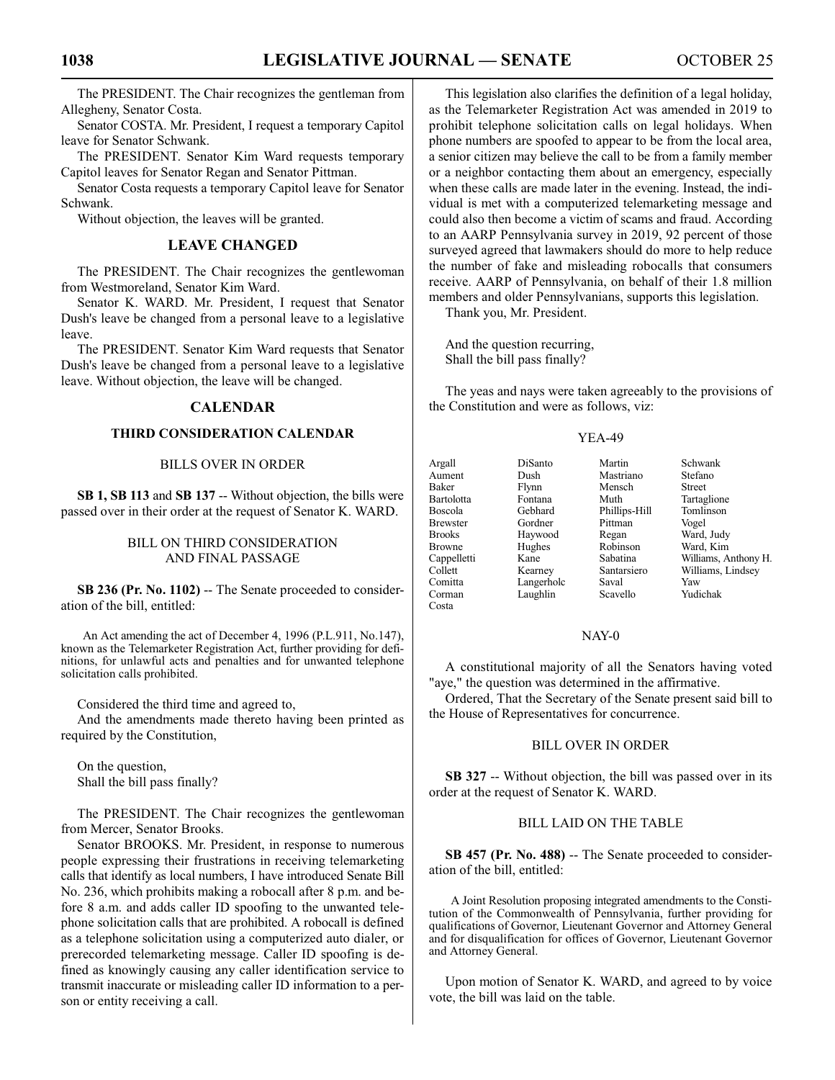The PRESIDENT. The Chair recognizes the gentleman from Allegheny, Senator Costa.

Senator COSTA. Mr. President, I request a temporary Capitol leave for Senator Schwank.

The PRESIDENT. Senator Kim Ward requests temporary Capitol leaves for Senator Regan and Senator Pittman.

Senator Costa requests a temporary Capitol leave for Senator Schwank.

Without objection, the leaves will be granted.

#### **LEAVE CHANGED**

The PRESIDENT. The Chair recognizes the gentlewoman from Westmoreland, Senator Kim Ward.

Senator K. WARD. Mr. President, I request that Senator Dush's leave be changed from a personal leave to a legislative leave.

The PRESIDENT. Senator Kim Ward requests that Senator Dush's leave be changed from a personal leave to a legislative leave. Without objection, the leave will be changed.

#### **CALENDAR**

#### **THIRD CONSIDERATION CALENDAR**

#### BILLS OVER IN ORDER

**SB 1, SB 113** and **SB 137** -- Without objection, the bills were passed over in their order at the request of Senator K. WARD.

#### BILL ON THIRD CONSIDERATION AND FINAL PASSAGE

**SB 236 (Pr. No. 1102)** -- The Senate proceeded to consideration of the bill, entitled:

An Act amending the act of December 4, 1996 (P.L.911, No.147), known as the Telemarketer Registration Act, further providing for definitions, for unlawful acts and penalties and for unwanted telephone solicitation calls prohibited.

Considered the third time and agreed to,

And the amendments made thereto having been printed as required by the Constitution,

On the question, Shall the bill pass finally?

The PRESIDENT. The Chair recognizes the gentlewoman from Mercer, Senator Brooks.

Senator BROOKS. Mr. President, in response to numerous people expressing their frustrations in receiving telemarketing calls that identify as local numbers, I have introduced Senate Bill No. 236, which prohibits making a robocall after 8 p.m. and before 8 a.m. and adds caller ID spoofing to the unwanted telephone solicitation calls that are prohibited. A robocall is defined as a telephone solicitation using a computerized auto dialer, or prerecorded telemarketing message. Caller ID spoofing is defined as knowingly causing any caller identification service to transmit inaccurate or misleading caller ID information to a person or entity receiving a call.

This legislation also clarifies the definition of a legal holiday, as the Telemarketer Registration Act was amended in 2019 to prohibit telephone solicitation calls on legal holidays. When phone numbers are spoofed to appear to be from the local area, a senior citizen may believe the call to be from a family member or a neighbor contacting them about an emergency, especially when these calls are made later in the evening. Instead, the individual is met with a computerized telemarketing message and could also then become a victim of scams and fraud. According to an AARP Pennsylvania survey in 2019, 92 percent of those surveyed agreed that lawmakers should do more to help reduce the number of fake and misleading robocalls that consumers receive. AARP of Pennsylvania, on behalf of their 1.8 million members and older Pennsylvanians, supports this legislation.

Thank you, Mr. President.

And the question recurring, Shall the bill pass finally?

The yeas and nays were taken agreeably to the provisions of the Constitution and were as follows, viz:

#### YEA-49

| Argall            | DiSanto    | Martin        | Schwank              |
|-------------------|------------|---------------|----------------------|
| Aument            | Dush       | Mastriano     | Stefano              |
| Baker             | Flynn      | Mensch        | <b>Street</b>        |
| Bartolotta        | Fontana    | Muth          | Tartaglione          |
| Boscola           | Gebhard    | Phillips-Hill | Tomlinson            |
| <b>Brewster</b>   | Gordner    | Pittman       | Vogel                |
| <b>Brooks</b>     | Haywood    | Regan         | Ward, Judy           |
| <b>Browne</b>     | Hughes     | Robinson      | Ward, Kim            |
| Cappelletti       | Kane       | Sabatina      | Williams, Anthony H. |
| Collett           | Kearney    | Santarsiero   | Williams, Lindsey    |
| Comitta           | Langerholc | Saval         | Yaw                  |
| Corman            | Laughlin   | Scavello      | Yudichak             |
| Cost <sub>2</sub> |            |               |                      |

#### NAY-0

A constitutional majority of all the Senators having voted "aye," the question was determined in the affirmative.

Ordered, That the Secretary of the Senate present said bill to the House of Representatives for concurrence.

#### BILL OVER IN ORDER

**SB** 327 -- Without objection, the bill was passed over in its order at the request of Senator K. WARD.

#### BILL LAID ON THE TABLE

**SB 457 (Pr. No. 488)** -- The Senate proceeded to consideration of the bill, entitled:

A Joint Resolution proposing integrated amendments to the Constitution of the Commonwealth of Pennsylvania, further providing for qualifications of Governor, Lieutenant Governor and Attorney General and for disqualification for offices of Governor, Lieutenant Governor and Attorney General.

Upon motion of Senator K. WARD, and agreed to by voice vote, the bill was laid on the table.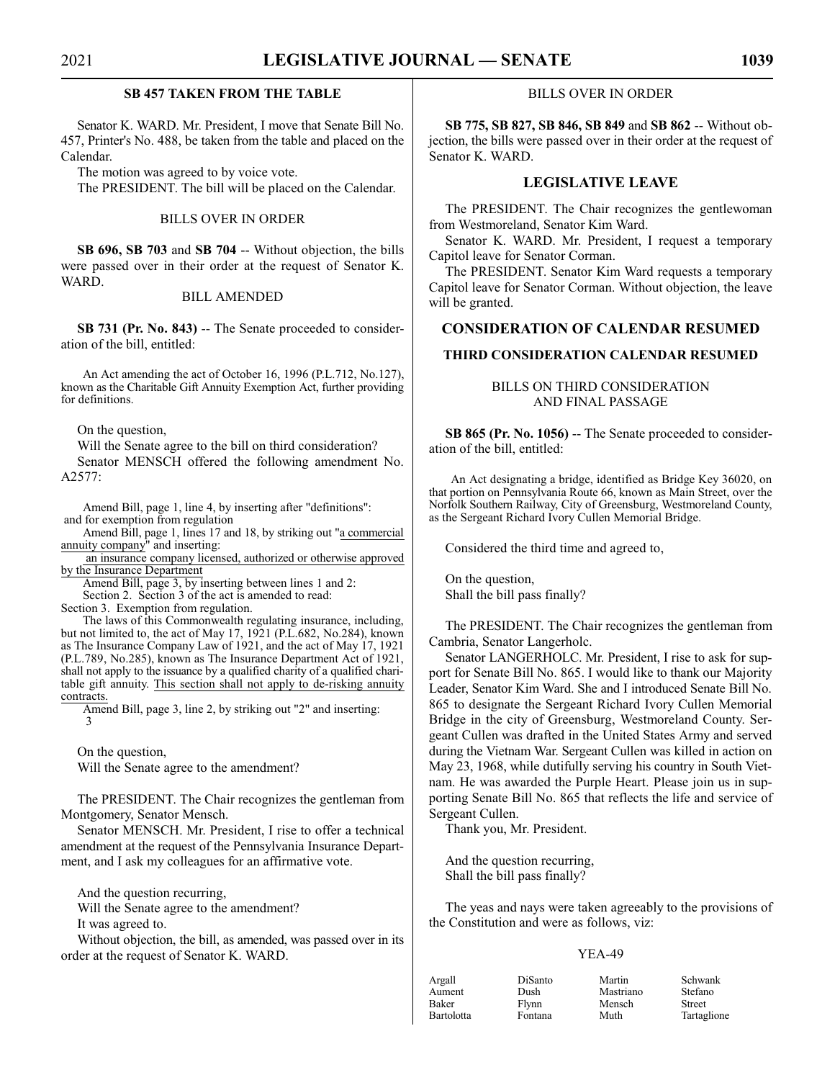#### **SB 457 TAKEN FROM THE TABLE**

Senator K. WARD. Mr. President, I move that Senate Bill No. 457, Printer's No. 488, be taken from the table and placed on the Calendar.

The motion was agreed to by voice vote.

The PRESIDENT. The bill will be placed on the Calendar.

#### BILLS OVER IN ORDER

**SB 696, SB 703** and **SB 704** -- Without objection, the bills were passed over in their order at the request of Senator K. WARD.

#### BILL AMENDED

**SB 731 (Pr. No. 843)** -- The Senate proceeded to consideration of the bill, entitled:

An Act amending the act of October 16, 1996 (P.L.712, No.127), known as the Charitable Gift Annuity Exemption Act, further providing for definitions.

On the question,

Will the Senate agree to the bill on third consideration?

Senator MENSCH offered the following amendment No. A2577:

Amend Bill, page 1, line 4, by inserting after "definitions": and for exemption from regulation

Amend Bill, page 1, lines 17 and 18, by striking out "a commercial annuity company" and inserting:

 an insurance company licensed, authorized or otherwise approved by the Insurance Department

Amend Bill, page 3, by inserting between lines 1 and 2:

Section 2. Section 3 of the act is amended to read:

Section 3. Exemption from regulation.

The laws of this Commonwealth regulating insurance, including, but not limited to, the act of May 17, 1921 (P.L.682, No.284), known as The Insurance Company Law of 1921, and the act of May 17, 1921 (P.L.789, No.285), known as The Insurance Department Act of 1921, shall not apply to the issuance by a qualified charity of a qualified charitable gift annuity. This section shall not apply to de-risking annuity contracts.

Amend Bill, page 3, line 2, by striking out "2" and inserting: 3

On the question, Will the Senate agree to the amendment?

The PRESIDENT. The Chair recognizes the gentleman from Montgomery, Senator Mensch.

Senator MENSCH. Mr. President, I rise to offer a technical amendment at the request of the Pennsylvania Insurance Department, and I ask my colleagues for an affirmative vote.

And the question recurring,

Will the Senate agree to the amendment?

It was agreed to.

Without objection, the bill, as amended, was passed over in its order at the request of Senator K. WARD.

#### BILLS OVER IN ORDER

**SB 775, SB 827, SB 846, SB 849** and **SB 862** -- Without objection, the bills were passed over in their order at the request of Senator K. WARD.

#### **LEGISLATIVE LEAVE**

The PRESIDENT. The Chair recognizes the gentlewoman from Westmoreland, Senator Kim Ward.

Senator K. WARD. Mr. President, I request a temporary Capitol leave for Senator Corman.

The PRESIDENT. Senator Kim Ward requests a temporary Capitol leave for Senator Corman. Without objection, the leave will be granted.

#### **CONSIDERATION OF CALENDAR RESUMED**

#### **THIRD CONSIDERATION CALENDAR RESUMED**

#### BILLS ON THIRD CONSIDERATION AND FINAL PASSAGE

**SB 865 (Pr. No. 1056)** -- The Senate proceeded to consideration of the bill, entitled:

An Act designating a bridge, identified as Bridge Key 36020, on that portion on Pennsylvania Route 66, known as Main Street, over the Norfolk Southern Railway, City of Greensburg, Westmoreland County, as the Sergeant Richard Ivory Cullen Memorial Bridge.

Considered the third time and agreed to,

On the question, Shall the bill pass finally?

The PRESIDENT. The Chair recognizes the gentleman from Cambria, Senator Langerholc.

Senator LANGERHOLC. Mr. President, I rise to ask for support for Senate Bill No. 865. I would like to thank our Majority Leader, Senator Kim Ward. She and I introduced Senate Bill No. 865 to designate the Sergeant Richard Ivory Cullen Memorial Bridge in the city of Greensburg, Westmoreland County. Sergeant Cullen was drafted in the United States Army and served during the Vietnam War. Sergeant Cullen was killed in action on May 23, 1968, while dutifully serving his country in South Vietnam. He was awarded the Purple Heart. Please join us in supporting Senate Bill No. 865 that reflects the life and service of Sergeant Cullen.

Thank you, Mr. President.

And the question recurring, Shall the bill pass finally?

The yeas and nays were taken agreeably to the provisions of the Constitution and were as follows, viz:

#### YEA-49

| Argall     | DiSanto | Martin    | Schwank       |
|------------|---------|-----------|---------------|
| Aument     | Dush    | Mastriano | Stefano       |
| Baker      | Flynn   | Mensch    | <b>Street</b> |
| Bartolotta | Fontana | Muth      | Tartaglion    |

Tartaglione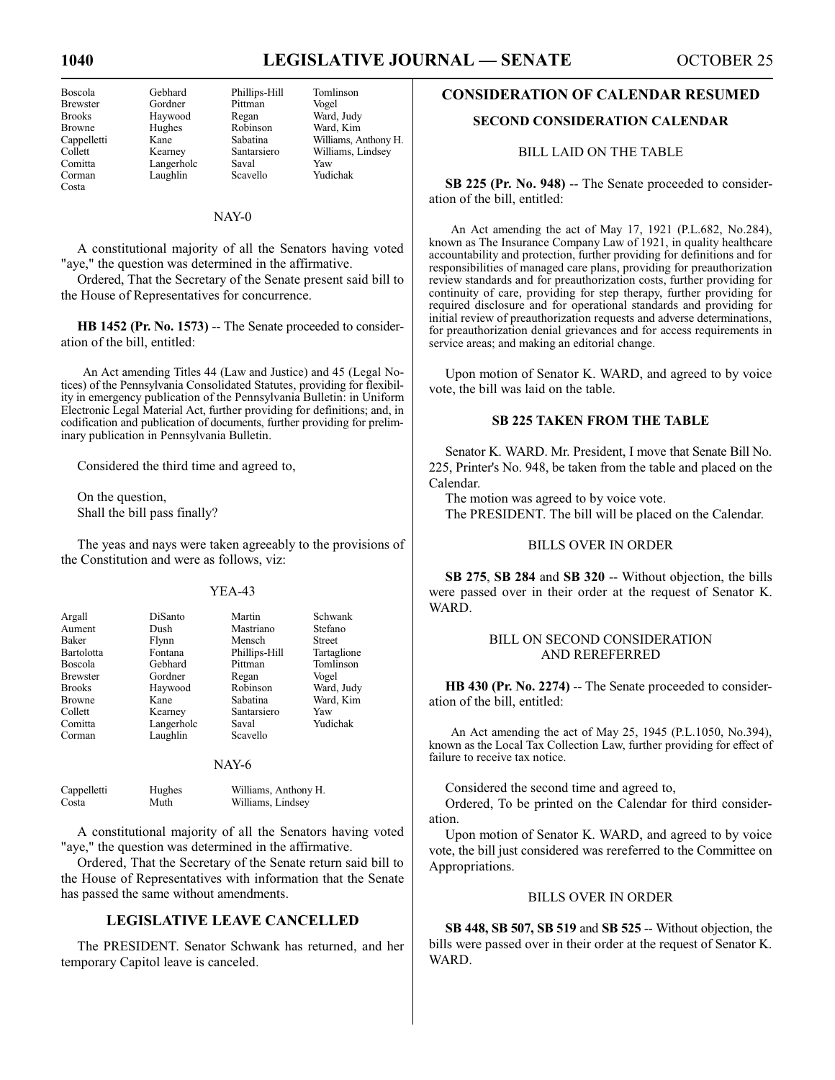| 150SCO14        |
|-----------------|
| <b>Brewster</b> |
| <b>Brooks</b>   |
| <b>Browne</b>   |
| Cappelletti     |
| Collett         |
| Comitta         |
| Corman          |
| Costa           |

Gordner Pittman<br>Havwood Regan

Gebhard Phillips-Hill Tomlinson<br>Gordner Pittman Vogel Ward, Judy Hughes Robinson Ward, Kim<br>
Kane Sabatina Williams, A Sabatina Williams, Anthony H.<br>Santarsiero Williams, Lindsey Kearney Santarsiero Williams, Lindsey<br>Langerhole Saval Yaw Langerholc Saval Yaw Laughlin Scavello Yudichak

#### NAY-0

A constitutional majority of all the Senators having voted "aye," the question was determined in the affirmative.

Ordered, That the Secretary of the Senate present said bill to the House of Representatives for concurrence.

**HB 1452 (Pr. No. 1573)** -- The Senate proceeded to consideration of the bill, entitled:

An Act amending Titles 44 (Law and Justice) and 45 (Legal Notices) of the Pennsylvania Consolidated Statutes, providing for flexibility in emergency publication of the Pennsylvania Bulletin: in Uniform Electronic Legal Material Act, further providing for definitions; and, in codification and publication of documents, further providing for preliminary publication in Pennsylvania Bulletin.

Considered the third time and agreed to,

On the question, Shall the bill pass finally?

The yeas and nays were taken agreeably to the provisions of the Constitution and were as follows, viz:

#### YEA-43

| Argall<br>Aument | DiSanto<br>Dush | Martin<br>Mastriano | Schwank<br>Stefano |
|------------------|-----------------|---------------------|--------------------|
| Baker            | Flynn           | Mensch              | <b>Street</b>      |
| Bartolotta       | Fontana         | Phillips-Hill       | Tartaglione        |
| <b>Boscola</b>   | Gebhard         | Pittman             | Tomlinson          |
| <b>Brewster</b>  | Gordner         | Regan               | Vogel              |
| <b>Brooks</b>    | Haywood         | Robinson            | Ward, Judy         |
| <b>Browne</b>    | Kane            | Sabatina            | Ward, Kim          |
| Collett          | Kearney         | Santarsiero         | Yaw                |
| Comitta          | Langerholc      | Saval               | Yudichak           |
| Corman           | Laughlin        | Scavello            |                    |

#### NAY-6

| Cappelletti | Hughes | Williams, Anthony H. |
|-------------|--------|----------------------|
| Costa       | Muth   | Williams, Lindsey    |

A constitutional majority of all the Senators having voted "aye," the question was determined in the affirmative.

Ordered, That the Secretary of the Senate return said bill to the House of Representatives with information that the Senate has passed the same without amendments.

#### **LEGISLATIVE LEAVE CANCELLED**

The PRESIDENT. Senator Schwank has returned, and her temporary Capitol leave is canceled.

#### **CONSIDERATION OF CALENDAR RESUMED**

#### **SECOND CONSIDERATION CALENDAR**

#### BILL LAID ON THE TABLE

**SB 225 (Pr. No. 948)** -- The Senate proceeded to consideration of the bill, entitled:

An Act amending the act of May 17, 1921 (P.L.682, No.284), known as The Insurance Company Law of 1921, in quality healthcare accountability and protection, further providing for definitions and for responsibilities of managed care plans, providing for preauthorization review standards and for preauthorization costs, further providing for continuity of care, providing for step therapy, further providing for required disclosure and for operational standards and providing for initial review of preauthorization requests and adverse determinations, for preauthorization denial grievances and for access requirements in service areas; and making an editorial change.

Upon motion of Senator K. WARD, and agreed to by voice vote, the bill was laid on the table.

#### **SB 225 TAKEN FROM THE TABLE**

Senator K. WARD. Mr. President, I move that Senate Bill No. 225, Printer's No. 948, be taken from the table and placed on the Calendar.

The motion was agreed to by voice vote.

The PRESIDENT. The bill will be placed on the Calendar.

#### BILLS OVER IN ORDER

**SB 275**, **SB 284** and **SB 320** -- Without objection, the bills were passed over in their order at the request of Senator K. WARD.

#### BILL ON SECOND CONSIDERATION AND REREFERRED

**HB 430 (Pr. No. 2274)** -- The Senate proceeded to consideration of the bill, entitled:

An Act amending the act of May 25, 1945 (P.L.1050, No.394), known as the Local Tax Collection Law, further providing for effect of failure to receive tax notice.

Considered the second time and agreed to,

Ordered, To be printed on the Calendar for third consideration.

Upon motion of Senator K. WARD, and agreed to by voice vote, the bill just considered was rereferred to the Committee on Appropriations.

#### BILLS OVER IN ORDER

**SB 448, SB 507, SB 519** and **SB 525** -- Without objection, the bills were passed over in their order at the request of Senator K. WARD.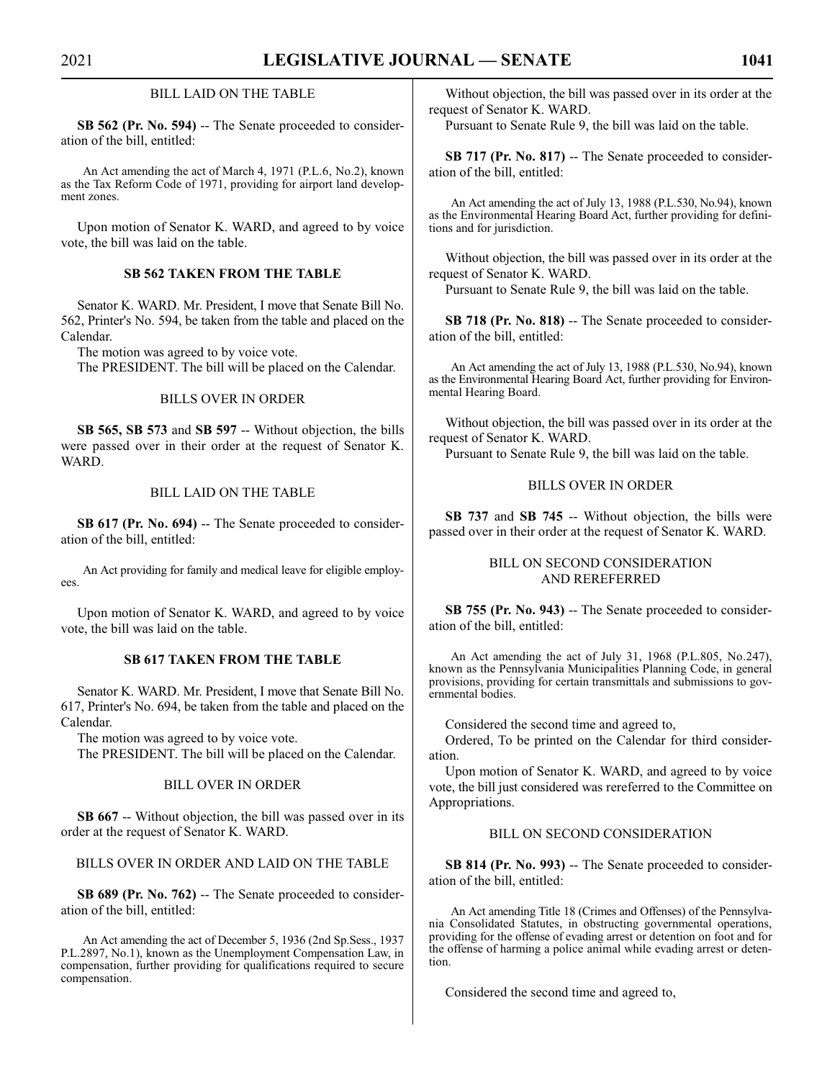#### BILL LAID ON THE TABLE

**SB 562 (Pr. No. 594)** -- The Senate proceeded to consideration of the bill, entitled:

An Act amending the act of March 4, 1971 (P.L.6, No.2), known as the Tax Reform Code of 1971, providing for airport land development zones.

Upon motion of Senator K. WARD, and agreed to by voice vote, the bill was laid on the table.

#### **SB 562 TAKEN FROM THE TABLE**

Senator K. WARD. Mr. President, I move that Senate Bill No. 562, Printer's No. 594, be taken from the table and placed on the Calendar.

The motion was agreed to by voice vote.

The PRESIDENT. The bill will be placed on the Calendar.

#### BILLS OVER IN ORDER

**SB 565, SB 573** and **SB 597** -- Without objection, the bills were passed over in their order at the request of Senator K. WARD.

#### BILL LAID ON THE TABLE

**SB 617 (Pr. No. 694)** -- The Senate proceeded to consideration of the bill, entitled:

An Act providing for family and medical leave for eligible employees.

Upon motion of Senator K. WARD, and agreed to by voice vote, the bill was laid on the table.

#### **SB 617 TAKEN FROM THE TABLE**

Senator K. WARD. Mr. President, I move that Senate Bill No. 617, Printer's No. 694, be taken from the table and placed on the Calendar.

The motion was agreed to by voice vote.

The PRESIDENT. The bill will be placed on the Calendar.

#### BILL OVER IN ORDER

**SB 667** -- Without objection, the bill was passed over in its order at the request of Senator K. WARD.

BILLS OVER IN ORDER AND LAID ON THE TABLE

**SB 689 (Pr. No. 762)** -- The Senate proceeded to consideration of the bill, entitled:

An Act amending the act of December 5, 1936 (2nd Sp.Sess., 1937 P.L.2897, No.1), known as the Unemployment Compensation Law, in compensation, further providing for qualifications required to secure compensation.

Without objection, the bill was passed over in its order at the request of Senator K. WARD.

Pursuant to Senate Rule 9, the bill was laid on the table.

**SB 717 (Pr. No. 817)** -- The Senate proceeded to consideration of the bill, entitled:

An Act amending the act of July 13, 1988 (P.L.530, No.94), known as the Environmental Hearing Board Act, further providing for definitions and for jurisdiction.

Without objection, the bill was passed over in its order at the request of Senator K. WARD.

Pursuant to Senate Rule 9, the bill was laid on the table.

**SB 718 (Pr. No. 818)** -- The Senate proceeded to consideration of the bill, entitled:

An Act amending the act of July 13, 1988 (P.L.530, No.94), known as the Environmental Hearing Board Act, further providing for Environmental Hearing Board.

Without objection, the bill was passed over in its order at the request of Senator K. WARD.

Pursuant to Senate Rule 9, the bill was laid on the table.

#### BILLS OVER IN ORDER

**SB 737** and **SB 745** -- Without objection, the bills were passed over in their order at the request of Senator K. WARD.

#### BILL ON SECOND CONSIDERATION AND REREFERRED

**SB 755 (Pr. No. 943)** -- The Senate proceeded to consideration of the bill, entitled:

An Act amending the act of July 31, 1968 (P.L.805, No.247), known as the Pennsylvania Municipalities Planning Code, in general provisions, providing for certain transmittals and submissions to governmental bodies.

Considered the second time and agreed to,

Ordered, To be printed on the Calendar for third consideration.

Upon motion of Senator K. WARD, and agreed to by voice vote, the bill just considered was rereferred to the Committee on Appropriations.

BILL ON SECOND CONSIDERATION

**SB 814 (Pr. No. 993)** -- The Senate proceeded to consideration of the bill, entitled:

An Act amending Title 18 (Crimes and Offenses) of the Pennsylvania Consolidated Statutes, in obstructing governmental operations, providing for the offense of evading arrest or detention on foot and for the offense of harming a police animal while evading arrest or detention.

Considered the second time and agreed to,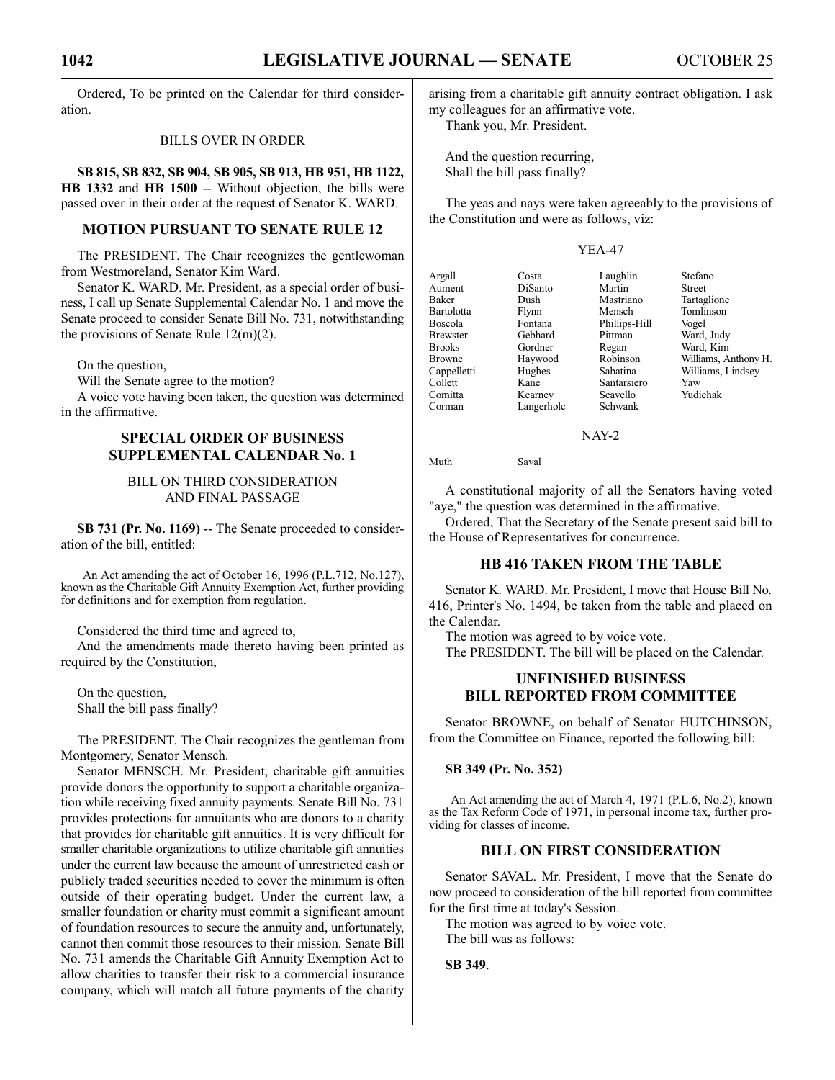Ordered, To be printed on the Calendar for third consideration.

#### BILLS OVER IN ORDER

**SB 815, SB 832, SB 904, SB 905, SB 913, HB 951, HB 1122, HB 1332** and **HB 1500** -- Without objection, the bills were passed over in their order at the request of Senator K. WARD.

#### **MOTION PURSUANT TO SENATE RULE 12**

The PRESIDENT. The Chair recognizes the gentlewoman from Westmoreland, Senator Kim Ward.

Senator K. WARD. Mr. President, as a special order of business, I call up Senate Supplemental Calendar No. 1 and move the Senate proceed to consider Senate Bill No. 731, notwithstanding the provisions of Senate Rule 12(m)(2).

On the question,

Will the Senate agree to the motion?

A voice vote having been taken, the question was determined in the affirmative.

#### **SPECIAL ORDER OF BUSINESS SUPPLEMENTAL CALENDAR No. 1**

#### BILL ON THIRD CONSIDERATION AND FINAL PASSAGE

**SB 731 (Pr. No. 1169)** -- The Senate proceeded to consideration of the bill, entitled:

An Act amending the act of October 16, 1996 (P.L.712, No.127), known as the Charitable Gift Annuity Exemption Act, further providing for definitions and for exemption from regulation.

Considered the third time and agreed to,

And the amendments made thereto having been printed as required by the Constitution,

On the question, Shall the bill pass finally?

The PRESIDENT. The Chair recognizes the gentleman from Montgomery, Senator Mensch.

Senator MENSCH. Mr. President, charitable gift annuities provide donors the opportunity to support a charitable organization while receiving fixed annuity payments. Senate Bill No. 731 provides protections for annuitants who are donors to a charity that provides for charitable gift annuities. It is very difficult for smaller charitable organizations to utilize charitable gift annuities under the current law because the amount of unrestricted cash or publicly traded securities needed to cover the minimum is often outside of their operating budget. Under the current law, a smaller foundation or charity must commit a significant amount of foundation resources to secure the annuity and, unfortunately, cannot then commit those resources to their mission. Senate Bill No. 731 amends the Charitable Gift Annuity Exemption Act to allow charities to transfer their risk to a commercial insurance company, which will match all future payments of the charity arising from a charitable gift annuity contract obligation. I ask my colleagues for an affirmative vote.

Thank you, Mr. President.

And the question recurring, Shall the bill pass finally?

The yeas and nays were taken agreeably to the provisions of the Constitution and were as follows, viz:

#### YEA-47

|            |                  | Stefano              |
|------------|------------------|----------------------|
|            |                  |                      |
|            |                  | Street               |
| Dush       | Mastriano        | Tartaglione          |
| Flynn      | Mensch           | Tomlinson            |
| Fontana    | Phillips-Hill    | Vogel                |
| Gebhard    | Pittman          | Ward, Judy           |
| Gordner    | Regan            | Ward, Kim            |
| Haywood    | Robinson         | Williams, Anthony H. |
| Hughes     | Sabatina         | Williams, Lindsey    |
| Kane       | Santarsiero      | Yaw                  |
| Kearney    | Scavello         | Yudichak             |
| Langerholc | Schwank          |                      |
|            | Costa<br>DiSanto | Laughlin<br>Martin   |

NAY-2

Muth Saval

A constitutional majority of all the Senators having voted "aye," the question was determined in the affirmative.

Ordered, That the Secretary of the Senate present said bill to the House of Representatives for concurrence.

#### **HB 416 TAKEN FROM THE TABLE**

Senator K. WARD. Mr. President, I move that House Bill No. 416, Printer's No. 1494, be taken from the table and placed on the Calendar.

The motion was agreed to by voice vote.

The PRESIDENT. The bill will be placed on the Calendar.

#### **UNFINISHED BUSINESS BILL REPORTED FROM COMMITTEE**

Senator BROWNE, on behalf of Senator HUTCHINSON, from the Committee on Finance, reported the following bill:

#### **SB 349 (Pr. No. 352)**

An Act amending the act of March 4, 1971 (P.L.6, No.2), known as the Tax Reform Code of 1971, in personal income tax, further providing for classes of income.

#### **BILL ON FIRST CONSIDERATION**

Senator SAVAL. Mr. President, I move that the Senate do now proceed to consideration of the bill reported from committee for the first time at today's Session.

The motion was agreed to by voice vote. The bill was as follows:

**SB 349**.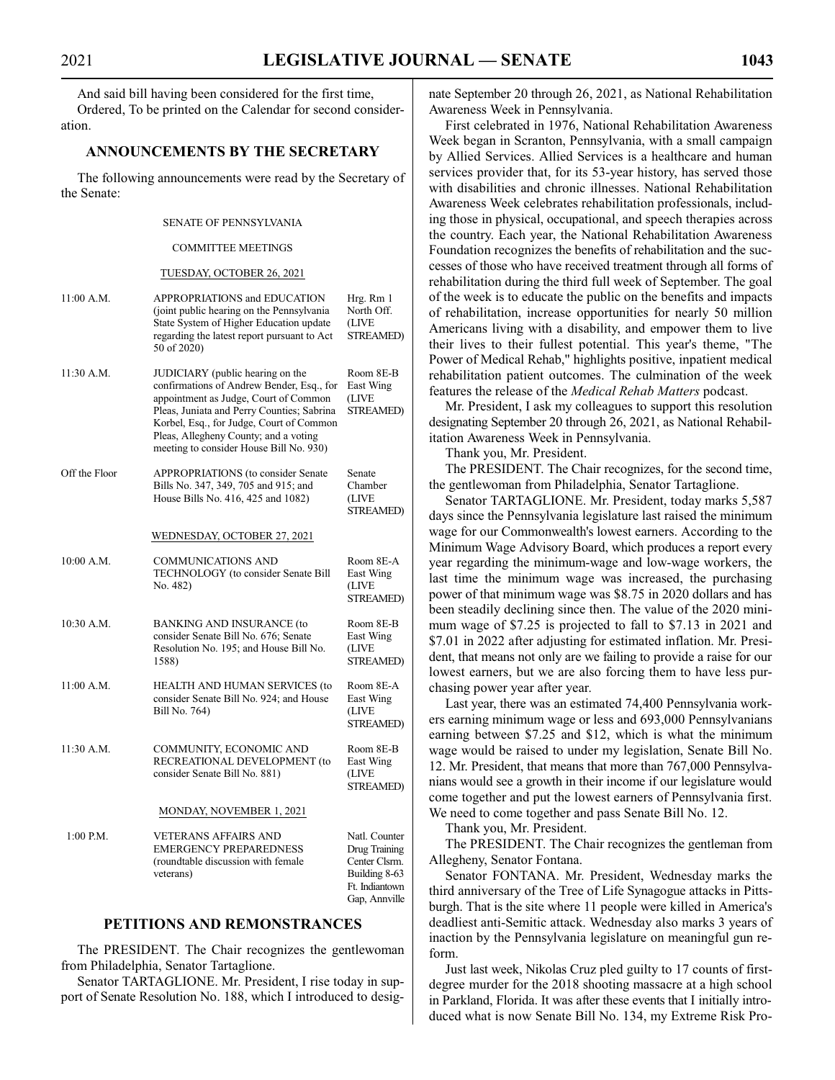And said bill having been considered for the first time, Ordered, To be printed on the Calendar for second consideration.

#### **ANNOUNCEMENTS BY THE SECRETARY**

The following announcements were read by the Secretary of the Senate:

#### SENATE OF PENNSYLVANIA

#### COMMITTEE MEETINGS

#### TUESDAY, OCTOBER 26, 2021

| 11:00 A.M.    | APPROPRIATIONS and EDUCATION<br>(joint public hearing on the Pennsylvania<br>State System of Higher Education update<br>regarding the latest report pursuant to Act<br>50 of 2020)                                                                                                                   | Hrg. Rm 1<br>North Off.<br>(LIVE<br><b>STREAMED)</b>                                                |
|---------------|------------------------------------------------------------------------------------------------------------------------------------------------------------------------------------------------------------------------------------------------------------------------------------------------------|-----------------------------------------------------------------------------------------------------|
| 11:30 A.M.    | JUDICIARY (public hearing on the<br>confirmations of Andrew Bender, Esq., for<br>appointment as Judge, Court of Common<br>Pleas, Juniata and Perry Counties; Sabrina<br>Korbel, Esq., for Judge, Court of Common<br>Pleas, Allegheny County; and a voting<br>meeting to consider House Bill No. 930) | Room 8E-B<br>East Wing<br>(LIVE<br><b>STREAMED)</b>                                                 |
| Off the Floor | APPROPRIATIONS (to consider Senate<br>Bills No. 347, 349, 705 and 915; and<br>House Bills No. 416, 425 and 1082)                                                                                                                                                                                     | Senate<br>Chamber<br>(LIVE<br>STREAMED)                                                             |
|               | WEDNESDAY, OCTOBER 27, 2021                                                                                                                                                                                                                                                                          |                                                                                                     |
| 10:00 A.M.    | <b>COMMUNICATIONS AND</b><br>TECHNOLOGY (to consider Senate Bill<br>No. 482)                                                                                                                                                                                                                         | Room 8E-A<br>East Wing<br>(LIVE<br>STREAMED)                                                        |
| 10:30 A.M.    | <b>BANKING AND INSURANCE (to</b><br>consider Senate Bill No. 676; Senate<br>Resolution No. 195; and House Bill No.<br>1588)                                                                                                                                                                          | Room 8E-B<br>East Wing<br>(LIVE<br>STREAMED)                                                        |
| 11:00 A.M.    | HEALTH AND HUMAN SERVICES (to<br>consider Senate Bill No. 924; and House<br>Bill No. 764)                                                                                                                                                                                                            | Room 8E-A<br>East Wing<br>(LIVE<br>STREAMED)                                                        |
| 11:30 A.M.    | COMMUNITY, ECONOMIC AND<br>RECREATIONAL DEVELOPMENT (to<br>consider Senate Bill No. 881)                                                                                                                                                                                                             | Room 8E-B<br>East Wing<br>(LIVE<br>STREAMED)                                                        |
|               | MONDAY, NOVEMBER 1, 2021                                                                                                                                                                                                                                                                             |                                                                                                     |
| $1:00$ P.M.   | <b>VETERANS AFFAIRS AND</b><br><b>EMERGENCY PREPAREDNESS</b><br>(roundtable discussion with female<br>veterans)                                                                                                                                                                                      | Natl. Counter<br>Drug Training<br>Center Clsrm.<br>Building 8-63<br>Ft. Indiantown<br>Gap, Annville |

#### **PETITIONS AND REMONSTRANCES**

The PRESIDENT. The Chair recognizes the gentlewoman from Philadelphia, Senator Tartaglione.

Senator TARTAGLIONE. Mr. President, I rise today in support of Senate Resolution No. 188, which I introduced to designate September 20 through 26, 2021, as National Rehabilitation Awareness Week in Pennsylvania.

First celebrated in 1976, National Rehabilitation Awareness Week began in Scranton, Pennsylvania, with a small campaign by Allied Services. Allied Services is a healthcare and human services provider that, for its 53-year history, has served those with disabilities and chronic illnesses. National Rehabilitation Awareness Week celebrates rehabilitation professionals, including those in physical, occupational, and speech therapies across the country. Each year, the National Rehabilitation Awareness Foundation recognizes the benefits of rehabilitation and the successes of those who have received treatment through all forms of rehabilitation during the third full week of September. The goal of the week is to educate the public on the benefits and impacts of rehabilitation, increase opportunities for nearly 50 million Americans living with a disability, and empower them to live their lives to their fullest potential. This year's theme, "The Power of Medical Rehab," highlights positive, inpatient medical rehabilitation patient outcomes. The culmination of the week features the release of the *Medical Rehab Matters* podcast.

Mr. President, I ask my colleagues to support this resolution designating September 20 through 26, 2021, as National Rehabilitation Awareness Week in Pennsylvania.

Thank you, Mr. President.

The PRESIDENT. The Chair recognizes, for the second time, the gentlewoman from Philadelphia, Senator Tartaglione.

Senator TARTAGLIONE. Mr. President, today marks 5,587 days since the Pennsylvania legislature last raised the minimum wage for our Commonwealth's lowest earners. According to the Minimum Wage Advisory Board, which produces a report every year regarding the minimum-wage and low-wage workers, the last time the minimum wage was increased, the purchasing power of that minimum wage was \$8.75 in 2020 dollars and has been steadily declining since then. The value of the 2020 minimum wage of \$7.25 is projected to fall to \$7.13 in 2021 and \$7.01 in 2022 after adjusting for estimated inflation. Mr. President, that means not only are we failing to provide a raise for our lowest earners, but we are also forcing them to have less purchasing power year after year.

Last year, there was an estimated 74,400 Pennsylvania workers earning minimum wage or less and 693,000 Pennsylvanians earning between \$7.25 and \$12, which is what the minimum wage would be raised to under my legislation, Senate Bill No. 12. Mr. President, that means that more than 767,000 Pennsylvanians would see a growth in their income if our legislature would come together and put the lowest earners of Pennsylvania first. We need to come together and pass Senate Bill No. 12.

Thank you, Mr. President.

The PRESIDENT. The Chair recognizes the gentleman from Allegheny, Senator Fontana.

Senator FONTANA. Mr. President, Wednesday marks the third anniversary of the Tree of Life Synagogue attacks in Pittsburgh. That is the site where 11 people were killed in America's deadliest anti-Semitic attack. Wednesday also marks 3 years of inaction by the Pennsylvania legislature on meaningful gun reform.

Just last week, Nikolas Cruz pled guilty to 17 counts of firstdegree murder for the 2018 shooting massacre at a high school in Parkland, Florida. It was after these events that I initially introduced what is now Senate Bill No. 134, my Extreme Risk Pro-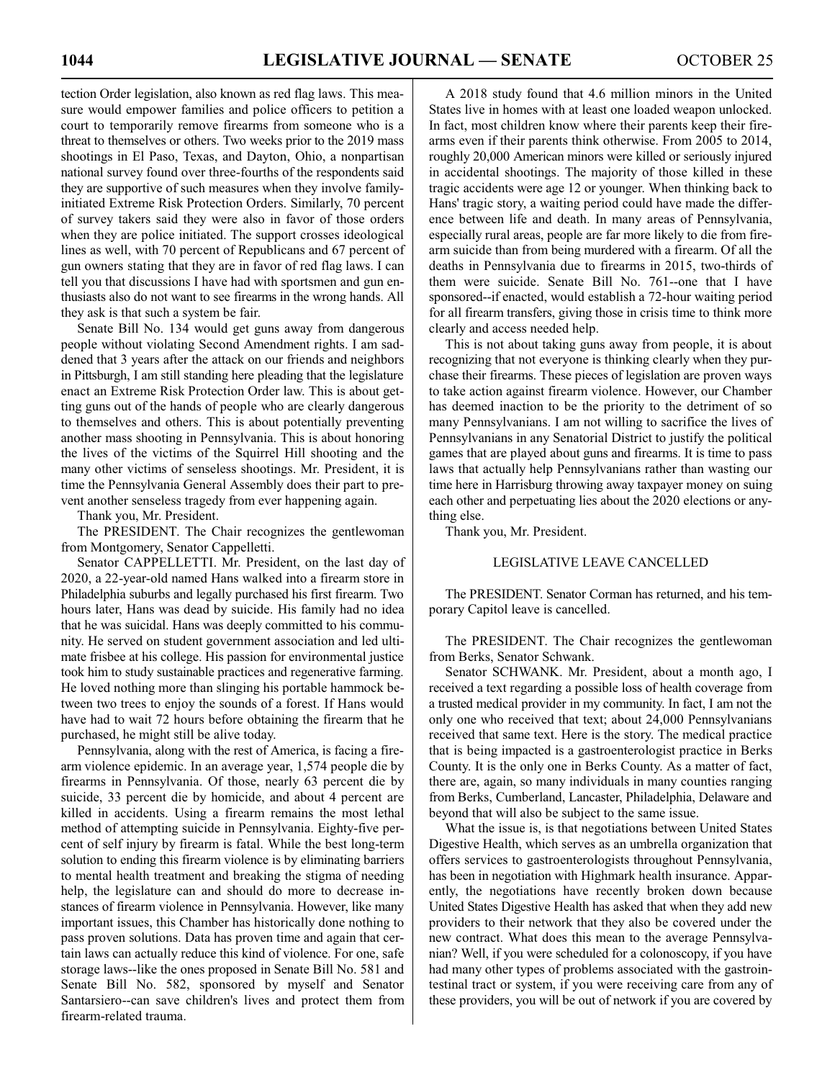tection Order legislation, also known as red flag laws. This measure would empower families and police officers to petition a court to temporarily remove firearms from someone who is a threat to themselves or others. Two weeks prior to the 2019 mass shootings in El Paso, Texas, and Dayton, Ohio, a nonpartisan national survey found over three-fourths of the respondents said they are supportive of such measures when they involve familyinitiated Extreme Risk Protection Orders. Similarly, 70 percent of survey takers said they were also in favor of those orders when they are police initiated. The support crosses ideological lines as well, with 70 percent of Republicans and 67 percent of gun owners stating that they are in favor of red flag laws. I can tell you that discussions I have had with sportsmen and gun enthusiasts also do not want to see firearms in the wrong hands. All they ask is that such a system be fair.

Senate Bill No. 134 would get guns away from dangerous people without violating Second Amendment rights. I am saddened that 3 years after the attack on our friends and neighbors in Pittsburgh, I am still standing here pleading that the legislature enact an Extreme Risk Protection Order law. This is about getting guns out of the hands of people who are clearly dangerous to themselves and others. This is about potentially preventing another mass shooting in Pennsylvania. This is about honoring the lives of the victims of the Squirrel Hill shooting and the many other victims of senseless shootings. Mr. President, it is time the Pennsylvania General Assembly does their part to prevent another senseless tragedy from ever happening again.

Thank you, Mr. President.

The PRESIDENT. The Chair recognizes the gentlewoman from Montgomery, Senator Cappelletti.

Senator CAPPELLETTI. Mr. President, on the last day of 2020, a 22-year-old named Hans walked into a firearm store in Philadelphia suburbs and legally purchased his first firearm. Two hours later, Hans was dead by suicide. His family had no idea that he was suicidal. Hans was deeply committed to his community. He served on student government association and led ultimate frisbee at his college. His passion for environmental justice took him to study sustainable practices and regenerative farming. He loved nothing more than slinging his portable hammock between two trees to enjoy the sounds of a forest. If Hans would have had to wait 72 hours before obtaining the firearm that he purchased, he might still be alive today.

Pennsylvania, along with the rest of America, is facing a firearm violence epidemic. In an average year, 1,574 people die by firearms in Pennsylvania. Of those, nearly 63 percent die by suicide, 33 percent die by homicide, and about 4 percent are killed in accidents. Using a firearm remains the most lethal method of attempting suicide in Pennsylvania. Eighty-five percent of self injury by firearm is fatal. While the best long-term solution to ending this firearm violence is by eliminating barriers to mental health treatment and breaking the stigma of needing help, the legislature can and should do more to decrease instances of firearm violence in Pennsylvania. However, like many important issues, this Chamber has historically done nothing to pass proven solutions. Data has proven time and again that certain laws can actually reduce this kind of violence. For one, safe storage laws--like the ones proposed in Senate Bill No. 581 and Senate Bill No. 582, sponsored by myself and Senator Santarsiero--can save children's lives and protect them from firearm-related trauma.

A 2018 study found that 4.6 million minors in the United States live in homes with at least one loaded weapon unlocked. In fact, most children know where their parents keep their firearms even if their parents think otherwise. From 2005 to 2014, roughly 20,000 American minors were killed or seriously injured in accidental shootings. The majority of those killed in these tragic accidents were age 12 or younger. When thinking back to Hans' tragic story, a waiting period could have made the difference between life and death. In many areas of Pennsylvania, especially rural areas, people are far more likely to die from firearm suicide than from being murdered with a firearm. Of all the deaths in Pennsylvania due to firearms in 2015, two-thirds of them were suicide. Senate Bill No. 761--one that I have sponsored--if enacted, would establish a 72-hour waiting period for all firearm transfers, giving those in crisis time to think more clearly and access needed help.

This is not about taking guns away from people, it is about recognizing that not everyone is thinking clearly when they purchase their firearms. These pieces of legislation are proven ways to take action against firearm violence. However, our Chamber has deemed inaction to be the priority to the detriment of so many Pennsylvanians. I am not willing to sacrifice the lives of Pennsylvanians in any Senatorial District to justify the political games that are played about guns and firearms. It is time to pass laws that actually help Pennsylvanians rather than wasting our time here in Harrisburg throwing away taxpayer money on suing each other and perpetuating lies about the 2020 elections or anything else.

Thank you, Mr. President.

#### LEGISLATIVE LEAVE CANCELLED

The PRESIDENT. Senator Corman has returned, and his temporary Capitol leave is cancelled.

The PRESIDENT. The Chair recognizes the gentlewoman from Berks, Senator Schwank.

Senator SCHWANK. Mr. President, about a month ago, I received a text regarding a possible loss of health coverage from a trusted medical provider in my community. In fact, I am not the only one who received that text; about 24,000 Pennsylvanians received that same text. Here is the story. The medical practice that is being impacted is a gastroenterologist practice in Berks County. It is the only one in Berks County. As a matter of fact, there are, again, so many individuals in many counties ranging from Berks, Cumberland, Lancaster, Philadelphia, Delaware and beyond that will also be subject to the same issue.

What the issue is, is that negotiations between United States Digestive Health, which serves as an umbrella organization that offers services to gastroenterologists throughout Pennsylvania, has been in negotiation with Highmark health insurance. Apparently, the negotiations have recently broken down because United States Digestive Health has asked that when they add new providers to their network that they also be covered under the new contract. What does this mean to the average Pennsylvanian? Well, if you were scheduled for a colonoscopy, if you have had many other types of problems associated with the gastrointestinal tract or system, if you were receiving care from any of these providers, you will be out of network if you are covered by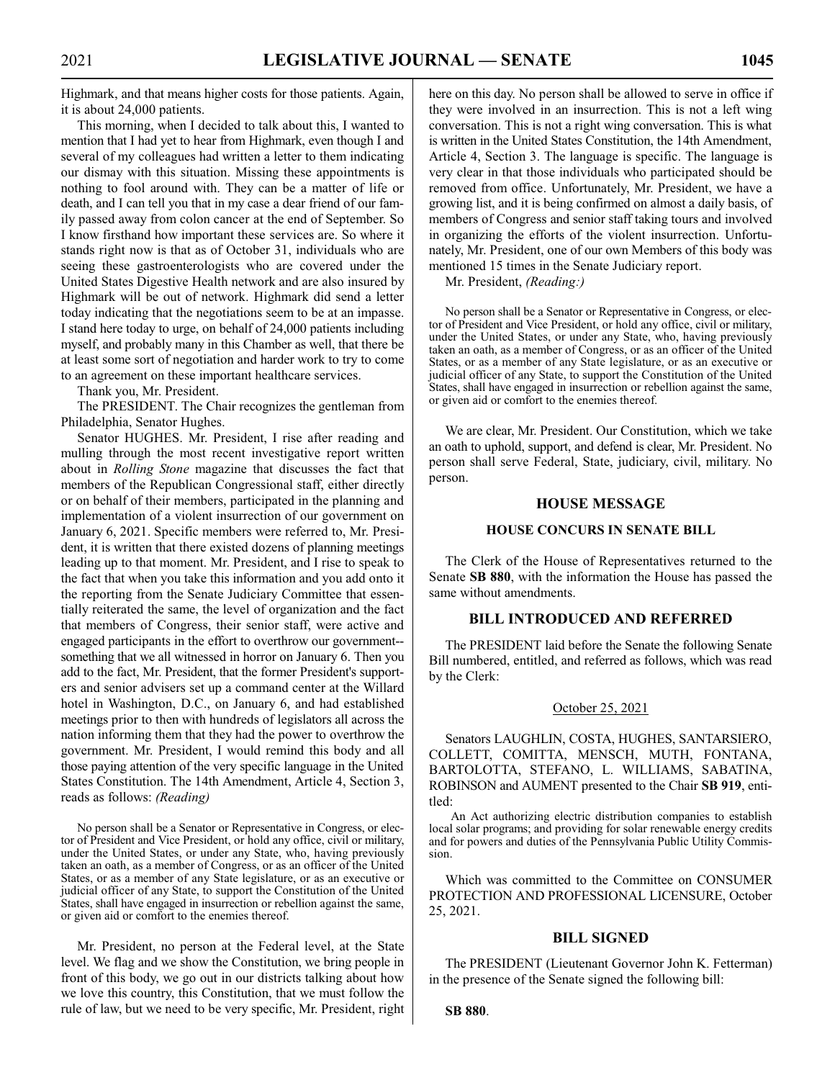Highmark, and that means higher costs for those patients. Again, it is about 24,000 patients.

This morning, when I decided to talk about this, I wanted to mention that I had yet to hear from Highmark, even though I and several of my colleagues had written a letter to them indicating our dismay with this situation. Missing these appointments is nothing to fool around with. They can be a matter of life or death, and I can tell you that in my case a dear friend of our family passed away from colon cancer at the end of September. So I know firsthand how important these services are. So where it stands right now is that as of October 31, individuals who are seeing these gastroenterologists who are covered under the United States Digestive Health network and are also insured by Highmark will be out of network. Highmark did send a letter today indicating that the negotiations seem to be at an impasse. I stand here today to urge, on behalf of 24,000 patients including myself, and probably many in this Chamber as well, that there be at least some sort of negotiation and harder work to try to come to an agreement on these important healthcare services.

Thank you, Mr. President.

The PRESIDENT. The Chair recognizes the gentleman from Philadelphia, Senator Hughes.

Senator HUGHES. Mr. President, I rise after reading and mulling through the most recent investigative report written about in *Rolling Stone* magazine that discusses the fact that members of the Republican Congressional staff, either directly or on behalf of their members, participated in the planning and implementation of a violent insurrection of our government on January 6, 2021. Specific members were referred to, Mr. President, it is written that there existed dozens of planning meetings leading up to that moment. Mr. President, and I rise to speak to the fact that when you take this information and you add onto it the reporting from the Senate Judiciary Committee that essentially reiterated the same, the level of organization and the fact that members of Congress, their senior staff, were active and engaged participants in the effort to overthrow our government- something that we all witnessed in horror on January 6. Then you add to the fact, Mr. President, that the former President's supporters and senior advisers set up a command center at the Willard hotel in Washington, D.C., on January 6, and had established meetings prior to then with hundreds of legislators all across the nation informing them that they had the power to overthrow the government. Mr. President, I would remind this body and all those paying attention of the very specific language in the United States Constitution. The 14th Amendment, Article 4, Section 3, reads as follows: *(Reading)*

No person shall be a Senator or Representative in Congress, or elector of President and Vice President, or hold any office, civil or military, under the United States, or under any State, who, having previously taken an oath, as a member of Congress, or as an officer of the United States, or as a member of any State legislature, or as an executive or judicial officer of any State, to support the Constitution of the United States, shall have engaged in insurrection or rebellion against the same, or given aid or comfort to the enemies thereof.

Mr. President, no person at the Federal level, at the State level. We flag and we show the Constitution, we bring people in front of this body, we go out in our districts talking about how we love this country, this Constitution, that we must follow the rule of law, but we need to be very specific, Mr. President, right here on this day. No person shall be allowed to serve in office if they were involved in an insurrection. This is not a left wing conversation. This is not a right wing conversation. This is what is written in the United States Constitution, the 14th Amendment, Article 4, Section 3. The language is specific. The language is very clear in that those individuals who participated should be removed from office. Unfortunately, Mr. President, we have a growing list, and it is being confirmed on almost a daily basis, of members of Congress and senior staff taking tours and involved in organizing the efforts of the violent insurrection. Unfortunately, Mr. President, one of our own Members of this body was mentioned 15 times in the Senate Judiciary report.

Mr. President, *(Reading:)*

No person shall be a Senator or Representative in Congress, or elector of President and Vice President, or hold any office, civil or military, under the United States, or under any State, who, having previously taken an oath, as a member of Congress, or as an officer of the United States, or as a member of any State legislature, or as an executive or judicial officer of any State, to support the Constitution of the United States, shall have engaged in insurrection or rebellion against the same, or given aid or comfort to the enemies thereof.

We are clear, Mr. President. Our Constitution, which we take an oath to uphold, support, and defend is clear, Mr. President. No person shall serve Federal, State, judiciary, civil, military. No person.

#### **HOUSE MESSAGE**

#### **HOUSE CONCURS IN SENATE BILL**

The Clerk of the House of Representatives returned to the Senate **SB 880**, with the information the House has passed the same without amendments.

#### **BILL INTRODUCED AND REFERRED**

The PRESIDENT laid before the Senate the following Senate Bill numbered, entitled, and referred as follows, which was read by the Clerk:

#### October 25, 2021

Senators LAUGHLIN, COSTA, HUGHES, SANTARSIERO, COLLETT, COMITTA, MENSCH, MUTH, FONTANA, BARTOLOTTA, STEFANO, L. WILLIAMS, SABATINA, ROBINSON and AUMENT presented to the Chair **SB 919**, entitled:

An Act authorizing electric distribution companies to establish local solar programs; and providing for solar renewable energy credits and for powers and duties of the Pennsylvania Public Utility Commission.

Which was committed to the Committee on CONSUMER PROTECTION AND PROFESSIONAL LICENSURE, October 25, 2021.

#### **BILL SIGNED**

The PRESIDENT (Lieutenant Governor John K. Fetterman) in the presence of the Senate signed the following bill:

#### **SB 880**.